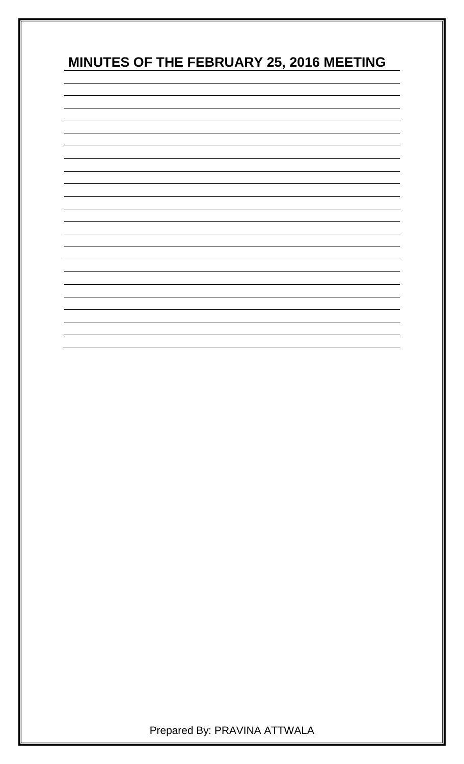# **MINUTES OF THE FEBRUARY 25, 2016 MEETING**



Prepared By: PRAVINA ATTWALA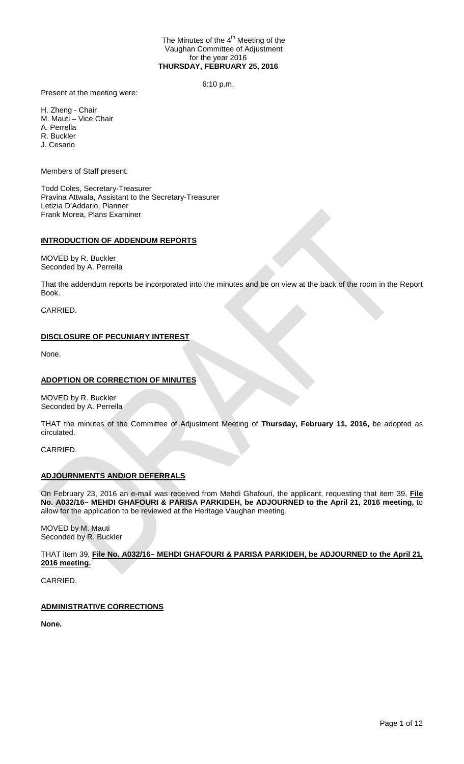#### The Minutes of the 4<sup>th</sup> Meeting of the Vaughan Committee of Adjustment for the year 2016 **THURSDAY, FEBRUARY 25, 2016**

6:10 p.m.

Present at the meeting were:

H. Zheng - Chair

M. Mauti – Vice Chair

A. Perrella R. Buckler

J. Cesario

Members of Staff present:

Todd Coles, Secretary-Treasurer Pravina Attwala, Assistant to the Secretary-Treasurer Letizia D'Addario, Planner Frank Morea, Plans Examiner

# **INTRODUCTION OF ADDENDUM REPORTS**

MOVED by R. Buckler Seconded by A. Perrella

That the addendum reports be incorporated into the minutes and be on view at the back of the room in the Report Book.

CARRIED.

# **DISCLOSURE OF PECUNIARY INTEREST**

None.

# **ADOPTION OR CORRECTION OF MINUTES**

MOVED by R. Buckler Seconded by A. Perrella

THAT the minutes of the Committee of Adjustment Meeting of **Thursday, February 11, 2016,** be adopted as circulated.

CARRIED.

# **ADJOURNMENTS AND/OR DEFERRALS**

On February 23, 2016 an e-mail was received from Mehdi Ghafouri, the applicant, requesting that item 39, **File No. A032/16– MEHDI GHAFOURI & PARISA PARKIDEH, be ADJOURNED to the April 21, 2016 meeting,** to allow for the application to be reviewed at the Heritage Vaughan meeting.

MOVED by M. Mauti Seconded by R. Buckler

THAT item 39, **File No. A032/16– MEHDI GHAFOURI & PARISA PARKIDEH, be ADJOURNED to the April 21, 2016 meeting.**

CARRIED.

# **ADMINISTRATIVE CORRECTIONS**

**None.**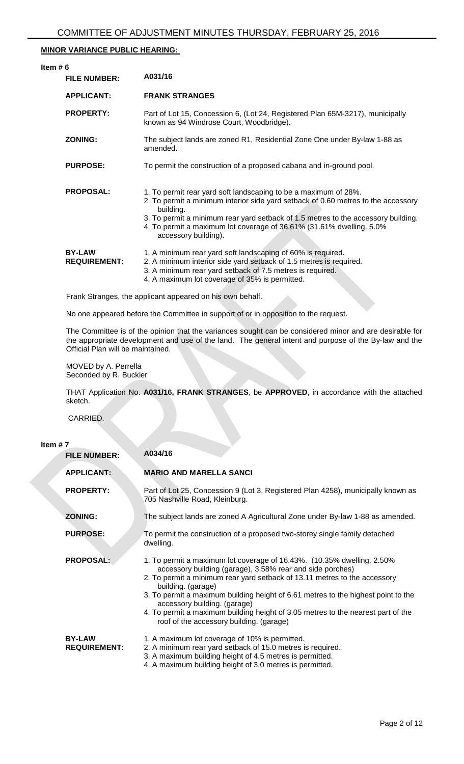# **MINOR VARIANCE PUBLIC HEARING:**

| Item $# 6$ | <b>FILE NUMBER:</b>                  | A031/16                                                                                                                                                                                                                                                                                                                                                |
|------------|--------------------------------------|--------------------------------------------------------------------------------------------------------------------------------------------------------------------------------------------------------------------------------------------------------------------------------------------------------------------------------------------------------|
|            | <b>APPLICANT:</b>                    | <b>FRANK STRANGES</b>                                                                                                                                                                                                                                                                                                                                  |
|            | <b>PROPERTY:</b>                     | Part of Lot 15, Concession 6, (Lot 24, Registered Plan 65M-3217), municipally<br>known as 94 Windrose Court, Woodbridge).                                                                                                                                                                                                                              |
|            | <b>ZONING:</b>                       | The subject lands are zoned R1, Residential Zone One under By-law 1-88 as<br>amended.                                                                                                                                                                                                                                                                  |
|            | <b>PURPOSE:</b>                      | To permit the construction of a proposed cabana and in-ground pool.                                                                                                                                                                                                                                                                                    |
|            | <b>PROPOSAL:</b>                     | 1. To permit rear yard soft landscaping to be a maximum of 28%.<br>2. To permit a minimum interior side yard setback of 0.60 metres to the accessory<br>building.<br>3. To permit a minimum rear yard setback of 1.5 metres to the accessory building.<br>4. To permit a maximum lot coverage of 36.61% (31.61% dwelling, 5.0%<br>accessory building). |
|            | <b>BY-LAW</b><br><b>REQUIREMENT:</b> | 1. A minimum rear yard soft landscaping of 60% is required.<br>2. A minimum interior side yard setback of 1.5 metres is required.<br>3. A minimum rear yard setback of 7.5 metres is required.<br>4. A maximum lot coverage of 35% is permitted.                                                                                                       |
|            |                                      | the contract of the contract of the contract of the contract of the contract of the contract of the contract of                                                                                                                                                                                                                                        |

Frank Stranges, the applicant appeared on his own behalf.

No one appeared before the Committee in support of or in opposition to the request.

The Committee is of the opinion that the variances sought can be considered minor and are desirable for the appropriate development and use of the land. The general intent and purpose of the By-law and the Official Plan will be maintained.

MOVED by A. Perrella Seconded by R. Buckler

THAT Application No. **A031/16, FRANK STRANGES**, be **APPROVED**, in accordance with the attached sketch.

CARRIED.

# **Item # 7**

| <b>FILE NUMBER:</b>                  | A034/16                                                                                                                                                                                                                                                                                                                                                                                                                                                                                     |
|--------------------------------------|---------------------------------------------------------------------------------------------------------------------------------------------------------------------------------------------------------------------------------------------------------------------------------------------------------------------------------------------------------------------------------------------------------------------------------------------------------------------------------------------|
| <b>APPLICANT:</b>                    | <b>MARIO AND MARELLA SANCI</b>                                                                                                                                                                                                                                                                                                                                                                                                                                                              |
| <b>PROPERTY:</b>                     | Part of Lot 25, Concession 9 (Lot 3, Registered Plan 4258), municipally known as<br>705 Nashville Road, Kleinburg.                                                                                                                                                                                                                                                                                                                                                                          |
| <b>ZONING:</b>                       | The subject lands are zoned A Agricultural Zone under By-law 1-88 as amended.                                                                                                                                                                                                                                                                                                                                                                                                               |
| <b>PURPOSE:</b>                      | To permit the construction of a proposed two-storey single family detached<br>dwelling.                                                                                                                                                                                                                                                                                                                                                                                                     |
| <b>PROPOSAL:</b>                     | 1. To permit a maximum lot coverage of 16.43%. (10.35% dwelling, 2.50%<br>accessory building (garage), 3.58% rear and side porches)<br>2. To permit a minimum rear yard setback of 13.11 metres to the accessory<br>building. (garage)<br>3. To permit a maximum building height of 6.61 metres to the highest point to the<br>accessory building. (garage)<br>4. To permit a maximum building height of 3.05 metres to the nearest part of the<br>roof of the accessory building. (garage) |
| <b>BY-LAW</b><br><b>REQUIREMENT:</b> | 1. A maximum lot coverage of 10% is permitted.<br>2. A minimum rear yard setback of 15.0 metres is required.<br>3. A maximum building height of 4.5 metres is permitted.<br>4. A maximum building height of 3.0 metres is permitted.                                                                                                                                                                                                                                                        |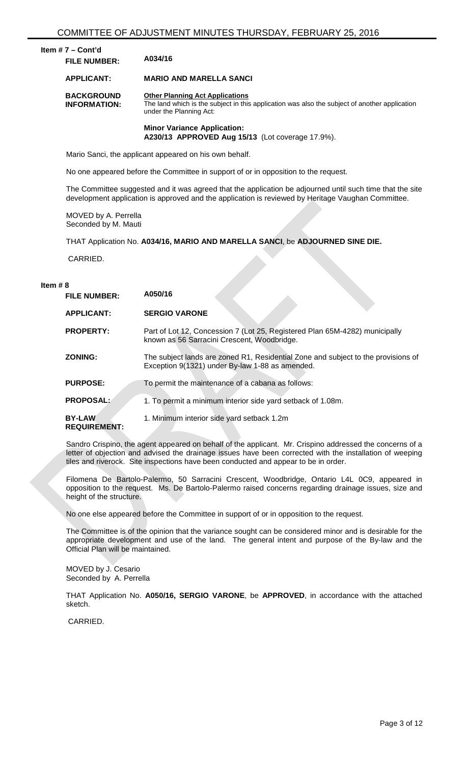# **Item # 7 – Cont'd FILE NUMBER: A034/16**

#### **APPLICANT: MARIO AND MARELLA SANCI**

**BACKGROUND INFORMATION: Other Planning Act Applications** The land which is the subject in this application was also the subject of another application under the Planning Act:

#### **Minor Variance Application: A230/13 APPROVED Aug 15/13** (Lot coverage 17.9%).

Mario Sanci, the applicant appeared on his own behalf.

No one appeared before the Committee in support of or in opposition to the request.

The Committee suggested and it was agreed that the application be adjourned until such time that the site development application is approved and the application is reviewed by Heritage Vaughan Committee.

MOVED by A. Perrella Seconded by M. Mauti

THAT Application No. **A034/16, MARIO AND MARELLA SANCI**, be **ADJOURNED SINE DIE.**

CARRIED.

#### **Item # 8**

| <b>FILE NUMBER:</b>                  | A050/16                                                                                                                              |
|--------------------------------------|--------------------------------------------------------------------------------------------------------------------------------------|
| <b>APPLICANT:</b>                    | <b>SERGIO VARONE</b>                                                                                                                 |
| <b>PROPERTY:</b>                     | Part of Lot 12, Concession 7 (Lot 25, Registered Plan 65M-4282) municipally<br>known as 56 Sarracini Crescent, Woodbridge.           |
| <b>ZONING:</b>                       | The subject lands are zoned R1, Residential Zone and subject to the provisions of<br>Exception 9(1321) under By-law 1-88 as amended. |
| <b>PURPOSE:</b>                      | To permit the maintenance of a cabana as follows:                                                                                    |
| <b>PROPOSAL:</b>                     | 1. To permit a minimum interior side yard setback of 1.08m.                                                                          |
| <b>BY-LAW</b><br><b>REQUIREMENT:</b> | 1. Minimum interior side yard setback 1.2m                                                                                           |

Sandro Crispino, the agent appeared on behalf of the applicant. Mr. Crispino addressed the concerns of a letter of objection and advised the drainage issues have been corrected with the installation of weeping tiles and riverock. Site inspections have been conducted and appear to be in order.

Filomena De Bartolo-Palermo, 50 Sarracini Crescent, Woodbridge, Ontario L4L 0C9, appeared in opposition to the request. Ms. De Bartolo-Palermo raised concerns regarding drainage issues, size and height of the structure.

No one else appeared before the Committee in support of or in opposition to the request.

The Committee is of the opinion that the variance sought can be considered minor and is desirable for the appropriate development and use of the land. The general intent and purpose of the By-law and the Official Plan will be maintained.

MOVED by J. Cesario Seconded by A. Perrella

THAT Application No. **A050/16, SERGIO VARONE**, be **APPROVED**, in accordance with the attached sketch.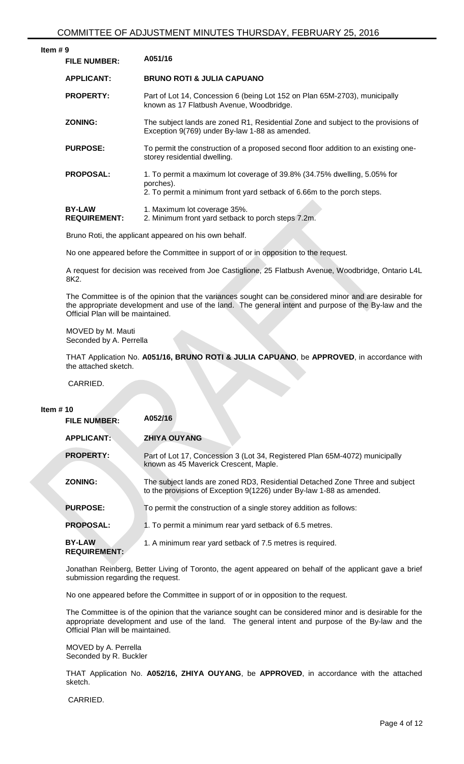| Item $# 9$ | <b>FILE NUMBER:</b>                  | A051/16                                                                                                                                                         |
|------------|--------------------------------------|-----------------------------------------------------------------------------------------------------------------------------------------------------------------|
|            | <b>APPLICANT:</b>                    | <b>BRUNO ROTI &amp; JULIA CAPUANO</b>                                                                                                                           |
|            | <b>PROPERTY:</b>                     | Part of Lot 14, Concession 6 (being Lot 152 on Plan 65M-2703), municipally<br>known as 17 Flatbush Avenue, Woodbridge.                                          |
|            | <b>ZONING:</b>                       | The subject lands are zoned R1, Residential Zone and subject to the provisions of<br>Exception 9(769) under By-law 1-88 as amended.                             |
|            | <b>PURPOSE:</b>                      | To permit the construction of a proposed second floor addition to an existing one-<br>storey residential dwelling.                                              |
|            | <b>PROPOSAL:</b>                     | 1. To permit a maximum lot coverage of 39.8% (34.75% dwelling, 5.05% for<br>porches).<br>2. To permit a minimum front yard setback of 6.66m to the porch steps. |
|            | <b>BY-LAW</b><br><b>REQUIREMENT:</b> | 1. Maximum lot coverage 35%.<br>2. Minimum front yard setback to porch steps 7.2m.                                                                              |

Bruno Roti, the applicant appeared on his own behalf.

No one appeared before the Committee in support of or in opposition to the request.

A request for decision was received from Joe Castiglione, 25 Flatbush Avenue, Woodbridge, Ontario L4L 8K2.

The Committee is of the opinion that the variances sought can be considered minor and are desirable for the appropriate development and use of the land. The general intent and purpose of the By-law and the Official Plan will be maintained.

MOVED by M. Mauti Seconded by A. Perrella

THAT Application No. **A051/16, BRUNO ROTI & JULIA CAPUANO**, be **APPROVED**, in accordance with the attached sketch.

CARRIED.

#### **Item # 10**

| <b>FILE NUMBER:</b>                  | A052/16                                                                                                                                              |
|--------------------------------------|------------------------------------------------------------------------------------------------------------------------------------------------------|
| <b>APPLICANT:</b>                    | <b>ZHIYA OUYANG</b>                                                                                                                                  |
| <b>PROPERTY:</b>                     | Part of Lot 17, Concession 3 (Lot 34, Registered Plan 65M-4072) municipally<br>known as 45 Maverick Crescent, Maple.                                 |
| <b>ZONING:</b>                       | The subject lands are zoned RD3, Residential Detached Zone Three and subject<br>to the provisions of Exception 9(1226) under By-law 1-88 as amended. |
| <b>PURPOSE:</b>                      | To permit the construction of a single storey addition as follows:                                                                                   |
| <b>PROPOSAL:</b>                     | 1. To permit a minimum rear yard setback of 6.5 metres.                                                                                              |
| <b>BY-LAW</b><br><b>REQUIREMENT:</b> | 1. A minimum rear yard setback of 7.5 metres is required.                                                                                            |

Jonathan Reinberg, Better Living of Toronto, the agent appeared on behalf of the applicant gave a brief submission regarding the request.

No one appeared before the Committee in support of or in opposition to the request.

The Committee is of the opinion that the variance sought can be considered minor and is desirable for the appropriate development and use of the land. The general intent and purpose of the By-law and the Official Plan will be maintained.

MOVED by A. Perrella Seconded by R. Buckler

THAT Application No. **A052/16, ZHIYA OUYANG**, be **APPROVED**, in accordance with the attached sketch.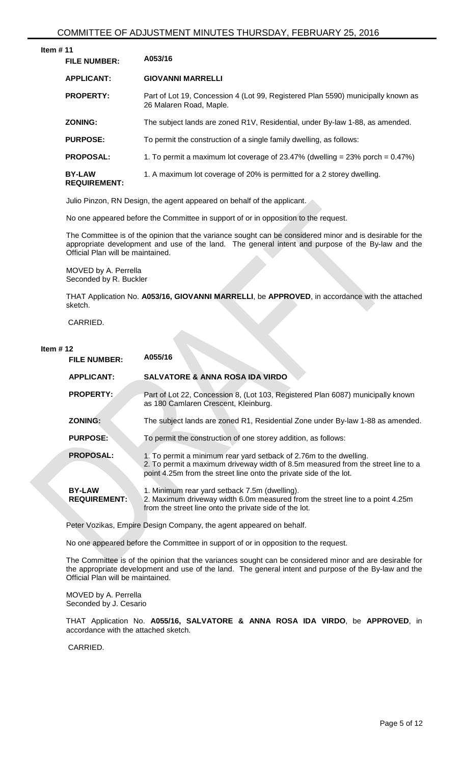| ltem # 11 |  |  |
|-----------|--|--|
|           |  |  |

| <b>FILE NUMBER:</b>                  | A053/16                                                                                                     |
|--------------------------------------|-------------------------------------------------------------------------------------------------------------|
| <b>APPLICANT:</b>                    | <b>GIOVANNI MARRELLI</b>                                                                                    |
| <b>PROPERTY:</b>                     | Part of Lot 19, Concession 4 (Lot 99, Registered Plan 5590) municipally known as<br>26 Malaren Road, Maple. |
| <b>ZONING:</b>                       | The subject lands are zoned R1V, Residential, under By-law 1-88, as amended.                                |
| <b>PURPOSE:</b>                      | To permit the construction of a single family dwelling, as follows:                                         |
| <b>PROPOSAL:</b>                     | 1. To permit a maximum lot coverage of 23.47% (dwelling = 23% porch = 0.47%)                                |
| <b>BY-LAW</b><br><b>REQUIREMENT:</b> | 1. A maximum lot coverage of 20% is permitted for a 2 storey dwelling.                                      |

Julio Pinzon, RN Design, the agent appeared on behalf of the applicant.

No one appeared before the Committee in support of or in opposition to the request.

The Committee is of the opinion that the variance sought can be considered minor and is desirable for the appropriate development and use of the land. The general intent and purpose of the By-law and the Official Plan will be maintained.

MOVED by A. Perrella Seconded by R. Buckler

THAT Application No. **A053/16, GIOVANNI MARRELLI**, be **APPROVED**, in accordance with the attached sketch.

CARRIED.

#### **Item # 12**

| <b>FILE NUMBER:</b>                  | A055/16                                                                                                                                                                                                                      |
|--------------------------------------|------------------------------------------------------------------------------------------------------------------------------------------------------------------------------------------------------------------------------|
| <b>APPLICANT:</b>                    | <b>SALVATORE &amp; ANNA ROSA IDA VIRDO</b>                                                                                                                                                                                   |
| <b>PROPERTY:</b>                     | Part of Lot 22, Concession 8, (Lot 103, Registered Plan 6087) municipally known<br>as 180 Camlaren Crescent, Kleinburg.                                                                                                      |
| <b>ZONING:</b>                       | The subject lands are zoned R1, Residential Zone under By-law 1-88 as amended.                                                                                                                                               |
| <b>PURPOSE:</b>                      | To permit the construction of one storey addition, as follows:                                                                                                                                                               |
| <b>PROPOSAL:</b>                     | 1. To permit a minimum rear yard setback of 2.76m to the dwelling.<br>2. To permit a maximum driveway width of 8.5m measured from the street line to a<br>point 4.25m from the street line onto the private side of the lot. |
| <b>BY-LAW</b><br><b>REQUIREMENT:</b> | 1. Minimum rear yard setback 7.5m (dwelling).<br>2. Maximum driveway width 6.0m measured from the street line to a point 4.25m<br>from the street line onto the private side of the lot.                                     |

Peter Vozikas, Empire Design Company, the agent appeared on behalf.

No one appeared before the Committee in support of or in opposition to the request.

The Committee is of the opinion that the variances sought can be considered minor and are desirable for the appropriate development and use of the land. The general intent and purpose of the By-law and the Official Plan will be maintained.

MOVED by A. Perrella Seconded by J. Cesario

THAT Application No. **A055/16, SALVATORE & ANNA ROSA IDA VIRDO**, be **APPROVED**, in accordance with the attached sketch.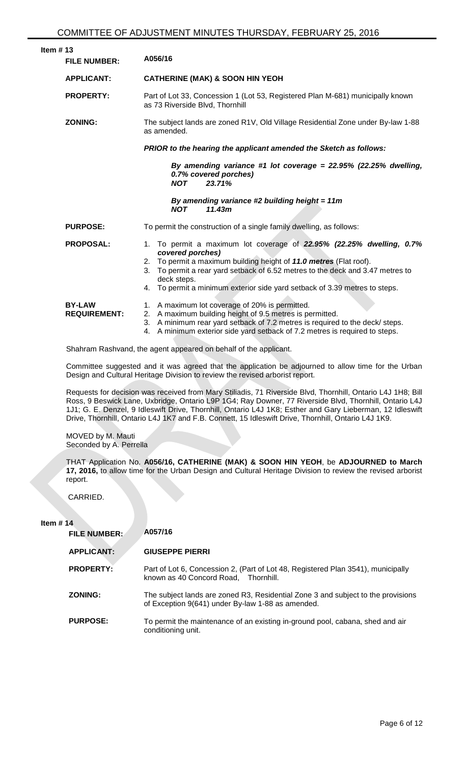| Item $# 13$                                   | <b>FILE NUMBER:</b>                  | A056/16                                                                                                                                                                                                                                                                                                                                          |  |  |
|-----------------------------------------------|--------------------------------------|--------------------------------------------------------------------------------------------------------------------------------------------------------------------------------------------------------------------------------------------------------------------------------------------------------------------------------------------------|--|--|
|                                               | <b>APPLICANT:</b>                    | <b>CATHERINE (MAK) &amp; SOON HIN YEOH</b>                                                                                                                                                                                                                                                                                                       |  |  |
|                                               | <b>PROPERTY:</b>                     | Part of Lot 33, Concession 1 (Lot 53, Registered Plan M-681) municipally known<br>as 73 Riverside Blvd, Thornhill                                                                                                                                                                                                                                |  |  |
|                                               | <b>ZONING:</b>                       | The subject lands are zoned R1V, Old Village Residential Zone under By-law 1-88<br>as amended.                                                                                                                                                                                                                                                   |  |  |
|                                               |                                      | PRIOR to the hearing the applicant amended the Sketch as follows:                                                                                                                                                                                                                                                                                |  |  |
| 0.7% covered porches)<br>23.71%<br><b>NOT</b> |                                      | By amending variance #1 lot coverage = $22.95\%$ (22.25% dwelling,                                                                                                                                                                                                                                                                               |  |  |
|                                               |                                      | By amending variance #2 building height = $11m$<br>11.43m<br><b>NOT</b>                                                                                                                                                                                                                                                                          |  |  |
|                                               | <b>PURPOSE:</b>                      | To permit the construction of a single family dwelling, as follows:                                                                                                                                                                                                                                                                              |  |  |
|                                               | <b>PROPOSAL:</b>                     | 1. To permit a maximum lot coverage of 22.95% (22.25% dwelling, 0.7%<br>covered porches)<br>2. To permit a maximum building height of 11.0 metres (Flat roof).<br>To permit a rear yard setback of 6.52 metres to the deck and 3.47 metres to<br>3.<br>deck steps.<br>4. To permit a minimum exterior side yard setback of 3.39 metres to steps. |  |  |
|                                               | <b>BY-LAW</b><br><b>REQUIREMENT:</b> | 1. A maximum lot coverage of 20% is permitted.<br>2. A maximum building height of 9.5 metres is permitted.<br>3. A minimum rear yard setback of 7.2 metres is required to the deck/ steps.<br>A minimum exterior side yard setback of 7.2 metres is required to steps.<br>4.                                                                     |  |  |

Shahram Rashvand, the agent appeared on behalf of the applicant.

Committee suggested and it was agreed that the application be adjourned to allow time for the Urban Design and Cultural Heritage Division to review the revised arborist report.

Requests for decision was received from Mary Stiliadis, 71 Riverside Blvd, Thornhill, Ontario L4J 1H8; Bill Ross, 9 Beswick Lane, Uxbridge, Ontario L9P 1G4; Ray Downer, 77 Riverside Blvd, Thornhill, Ontario L4J 1J1; G. E. Denzel, 9 Idleswift Drive, Thornhill, Ontario L4J 1K8; Esther and Gary Lieberman, 12 Idleswift Drive, Thornhill, Ontario L4J 1K7 and F.B. Connett, 15 Idleswift Drive, Thornhill, Ontario L4J 1K9.

MOVED by M. Mauti Seconded by A. Perrella

THAT Application No. **A056/16, CATHERINE (MAK) & SOON HIN YEOH**, be **ADJOURNED to March 17, 2016,** to allow time for the Urban Design and Cultural Heritage Division to review the revised arborist report.

CARRIED.

#### **Item # 14**

| <b>FILE NUMBER:</b> | A057/16                                                                                                                               |
|---------------------|---------------------------------------------------------------------------------------------------------------------------------------|
| <b>APPLICANT:</b>   | <b>GIUSEPPE PIERRI</b>                                                                                                                |
| <b>PROPERTY:</b>    | Part of Lot 6, Concession 2, (Part of Lot 48, Registered Plan 3541), municipally<br>known as 40 Concord Road, Thornhill.              |
| <b>ZONING:</b>      | The subject lands are zoned R3, Residential Zone 3 and subject to the provisions<br>of Exception 9(641) under By-law 1-88 as amended. |
| <b>PURPOSE:</b>     | To permit the maintenance of an existing in-ground pool, cabana, shed and air<br>conditioning unit.                                   |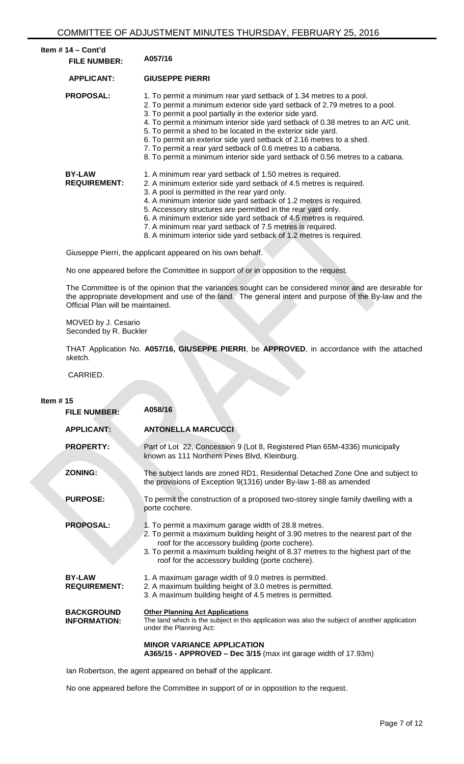| Item $# 14 - Cont'd$<br><b>FILE NUMBER:</b> | A057/16                                                                                                                                                                                                                                                                                                                                                                                                                                                                                                                                                                                   |
|---------------------------------------------|-------------------------------------------------------------------------------------------------------------------------------------------------------------------------------------------------------------------------------------------------------------------------------------------------------------------------------------------------------------------------------------------------------------------------------------------------------------------------------------------------------------------------------------------------------------------------------------------|
| <b>APPLICANT:</b>                           | <b>GIUSEPPE PIERRI</b>                                                                                                                                                                                                                                                                                                                                                                                                                                                                                                                                                                    |
| <b>PROPOSAL:</b>                            | 1. To permit a minimum rear yard setback of 1.34 metres to a pool.<br>2. To permit a minimum exterior side yard setback of 2.79 metres to a pool.<br>3. To permit a pool partially in the exterior side yard.<br>4. To permit a minimum interior side yard setback of 0.38 metres to an A/C unit.<br>5. To permit a shed to be located in the exterior side yard.<br>6. To permit an exterior side yard setback of 2.16 metres to a shed.<br>7. To permit a rear yard setback of 0.6 metres to a cabana.<br>8. To permit a minimum interior side yard setback of 0.56 metres to a cabana. |
| <b>BY-LAW</b><br><b>REQUIREMENT:</b>        | 1. A minimum rear yard setback of 1.50 metres is required.<br>2. A minimum exterior side yard setback of 4.5 metres is required.<br>3. A pool is permitted in the rear yard only.<br>4. A minimum interior side yard setback of 1.2 metres is required.<br>5. Accessory structures are permitted in the rear yard only.<br>6. A minimum exterior side yard setback of 4.5 metres is required.<br>7. A minimum rear yard setback of 7.5 metres is required.<br>8. A minimum interior side yard setback of 1.2 metres is required.                                                          |

Giuseppe Pierri, the applicant appeared on his own behalf.

No one appeared before the Committee in support of or in opposition to the request.

The Committee is of the opinion that the variances sought can be considered minor and are desirable for the appropriate development and use of the land. The general intent and purpose of the By-law and the Official Plan will be maintained.

MOVED by J. Cesario Seconded by R. Buckler

THAT Application No. **A057/16, GIUSEPPE PIERRI**, be **APPROVED**, in accordance with the attached sketch.

CARRIED.

**Item # 15**

| <b>FILE NUMBER:</b>                      | A058/16                                                                                                                                                                                                                                                                                                                             |
|------------------------------------------|-------------------------------------------------------------------------------------------------------------------------------------------------------------------------------------------------------------------------------------------------------------------------------------------------------------------------------------|
| <b>APPLICANT:</b>                        | <b>ANTONELLA MARCUCCI</b>                                                                                                                                                                                                                                                                                                           |
| <b>PROPERTY:</b>                         | Part of Lot 22, Concession 9 (Lot 8, Registered Plan 65M-4336) municipally<br>known as 111 Northern Pines Blvd, Kleinburg.                                                                                                                                                                                                          |
| <b>ZONING:</b>                           | The subject lands are zoned RD1, Residential Detached Zone One and subject to<br>the provisions of Exception 9(1316) under By-law 1-88 as amended                                                                                                                                                                                   |
| <b>PURPOSE:</b>                          | To permit the construction of a proposed two-storey single family dwelling with a<br>porte cochere.                                                                                                                                                                                                                                 |
| <b>PROPOSAL:</b>                         | 1. To permit a maximum garage width of 28.8 metres.<br>2. To permit a maximum building height of 3.90 metres to the nearest part of the<br>roof for the accessory building (porte cochere).<br>3. To permit a maximum building height of 8.37 metres to the highest part of the<br>roof for the accessory building (porte cochere). |
| <b>BY-LAW</b><br><b>REQUIREMENT:</b>     | 1. A maximum garage width of 9.0 metres is permitted.<br>2. A maximum building height of 3.0 metres is permitted.<br>3. A maximum building height of 4.5 metres is permitted.                                                                                                                                                       |
| <b>BACKGROUND</b><br><b>INFORMATION:</b> | <b>Other Planning Act Applications</b><br>The land which is the subject in this application was also the subject of another application<br>under the Planning Act:                                                                                                                                                                  |
|                                          | <b>MINOR VARIANCE APPLICATION</b><br>A365/15 - APPROVED - Dec $3/15$ (max int garage width of 17.93m)                                                                                                                                                                                                                               |

Ian Robertson, the agent appeared on behalf of the applicant.

No one appeared before the Committee in support of or in opposition to the request.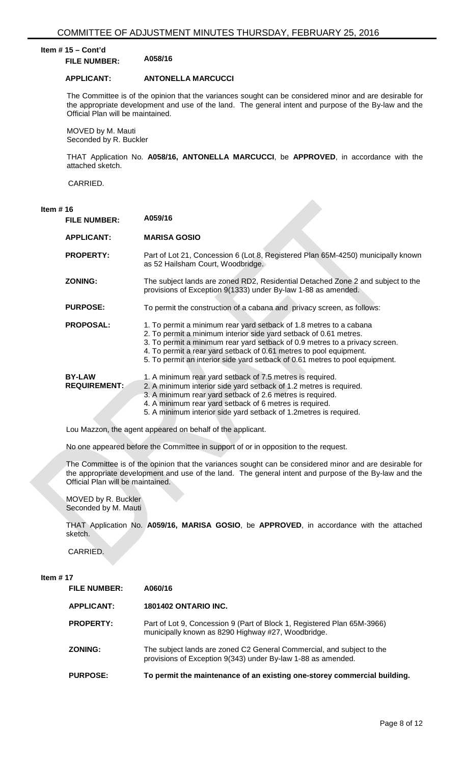# **Item # 15 – Cont'd FILE NUMBER: A058/16**

**APPLICANT: ANTONELLA MARCUCCI**

The Committee is of the opinion that the variances sought can be considered minor and are desirable for the appropriate development and use of the land. The general intent and purpose of the By-law and the Official Plan will be maintained.

MOVED by M. Mauti Seconded by R. Buckler

THAT Application No. **A058/16, ANTONELLA MARCUCCI**, be **APPROVED**, in accordance with the attached sketch.

CARRIED.

# **Item # 16**

| <b>FILE NUMBER:</b>                  | A059/16                                                                                                                                                                                                                                                                                                                                                                      |
|--------------------------------------|------------------------------------------------------------------------------------------------------------------------------------------------------------------------------------------------------------------------------------------------------------------------------------------------------------------------------------------------------------------------------|
| <b>APPLICANT:</b>                    | <b>MARISA GOSIO</b>                                                                                                                                                                                                                                                                                                                                                          |
| <b>PROPERTY:</b>                     | Part of Lot 21, Concession 6 (Lot 8, Registered Plan 65M-4250) municipally known<br>as 52 Hailsham Court, Woodbridge.                                                                                                                                                                                                                                                        |
| <b>ZONING:</b>                       | The subject lands are zoned RD2, Residential Detached Zone 2 and subject to the<br>provisions of Exception 9(1333) under By-law 1-88 as amended.                                                                                                                                                                                                                             |
| <b>PURPOSE:</b>                      | To permit the construction of a cabana and privacy screen, as follows:                                                                                                                                                                                                                                                                                                       |
| <b>PROPOSAL:</b>                     | 1. To permit a minimum rear yard setback of 1.8 metres to a cabana<br>2. To permit a minimum interior side yard setback of 0.61 metres.<br>3. To permit a minimum rear yard setback of 0.9 metres to a privacy screen.<br>4. To permit a rear yard setback of 0.61 metres to pool equipment.<br>5. To permit an interior side yard setback of 0.61 metres to pool equipment. |
| <b>BY-LAW</b><br><b>REQUIREMENT:</b> | 1. A minimum rear yard setback of 7.5 metres is required.<br>2. A minimum interior side yard setback of 1.2 metres is required.<br>3. A minimum rear yard setback of 2.6 metres is required.<br>4. A minimum rear yard setback of 6 metres is required.<br>5. A minimum interior side yard setback of 1.2 metres is required.                                                |

Lou Mazzon, the agent appeared on behalf of the applicant.

No one appeared before the Committee in support of or in opposition to the request.

The Committee is of the opinion that the variances sought can be considered minor and are desirable for the appropriate development and use of the land. The general intent and purpose of the By-law and the Official Plan will be maintained.

MOVED by R. Buckler Seconded by M. Mauti

THAT Application No. **A059/16, MARISA GOSIO**, be **APPROVED**, in accordance with the attached sketch.

CARRIED.

#### **Item # 17**

| <b>FILE NUMBER:</b> | A060/16                                                                                                                               |
|---------------------|---------------------------------------------------------------------------------------------------------------------------------------|
| <b>APPLICANT:</b>   | <b>1801402 ONTARIO INC.</b>                                                                                                           |
| <b>PROPERTY:</b>    | Part of Lot 9, Concession 9 (Part of Block 1, Registered Plan 65M-3966)<br>municipally known as 8290 Highway #27, Woodbridge.         |
| <b>ZONING:</b>      | The subject lands are zoned C2 General Commercial, and subject to the<br>provisions of Exception 9(343) under By-law 1-88 as amended. |
| <b>PURPOSE:</b>     | To permit the maintenance of an existing one-storey commercial building.                                                              |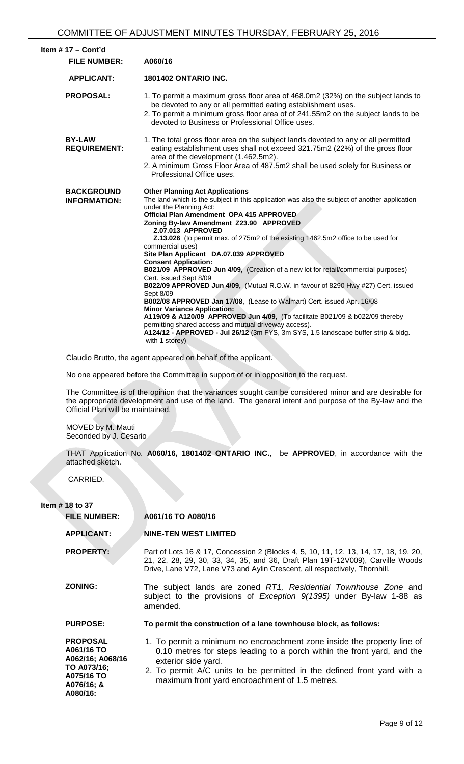| Item $# 17 -$ Cont'd<br><b>FILE NUMBER:</b> | A060/16                                                                                                                                                                                                                                                                                                                                                                                                                                                                                                                                                                                                                                                                                                                                                                                                                                                                                                                                                                                                                                            |
|---------------------------------------------|----------------------------------------------------------------------------------------------------------------------------------------------------------------------------------------------------------------------------------------------------------------------------------------------------------------------------------------------------------------------------------------------------------------------------------------------------------------------------------------------------------------------------------------------------------------------------------------------------------------------------------------------------------------------------------------------------------------------------------------------------------------------------------------------------------------------------------------------------------------------------------------------------------------------------------------------------------------------------------------------------------------------------------------------------|
| <b>APPLICANT:</b>                           | <b>1801402 ONTARIO INC.</b>                                                                                                                                                                                                                                                                                                                                                                                                                                                                                                                                                                                                                                                                                                                                                                                                                                                                                                                                                                                                                        |
| <b>PROPOSAL:</b>                            | 1. To permit a maximum gross floor area of 468.0m2 (32%) on the subject lands to<br>be devoted to any or all permitted eating establishment uses.<br>2. To permit a minimum gross floor area of of 241.55m2 on the subject lands to be<br>devoted to Business or Professional Office uses.                                                                                                                                                                                                                                                                                                                                                                                                                                                                                                                                                                                                                                                                                                                                                         |
| <b>BY-LAW</b><br><b>REQUIREMENT:</b>        | 1. The total gross floor area on the subject lands devoted to any or all permitted<br>eating establishment uses shall not exceed 321.75m2 (22%) of the gross floor<br>area of the development (1.462.5m2).<br>2. A minimum Gross Floor Area of 487.5m2 shall be used solely for Business or<br>Professional Office uses.                                                                                                                                                                                                                                                                                                                                                                                                                                                                                                                                                                                                                                                                                                                           |
| <b>BACKGROUND</b><br><b>INFORMATION:</b>    | <b>Other Planning Act Applications</b><br>The land which is the subject in this application was also the subject of another application<br>under the Planning Act:<br>Official Plan Amendment OPA 415 APPROVED<br>Zoning By-law Amendment Z23.90 APPROVED<br>Z.07.013 APPROVED<br>Z.13.026 (to permit max. of 275m2 of the existing 1462.5m2 office to be used for<br>commercial uses)<br>Site Plan Applicant DA.07.039 APPROVED<br><b>Consent Application:</b><br>B021/09 APPROVED Jun 4/09, (Creation of a new lot for retail/commercial purposes)<br>Cert. issued Sept 8/09<br>B022/09 APPROVED Jun 4/09, (Mutual R.O.W. in favour of 8290 Hwy #27) Cert. issued<br>Sept 8/09<br>B002/08 APPROVED Jan 17/08, (Lease to Walmart) Cert. issued Apr. 16/08<br><b>Minor Variance Application:</b><br>A119/09 & A120/09 APPROVED Jun 4/09, (To facilitate B021/09 & b022/09 thereby<br>permitting shared access and mutual driveway access).<br>A124/12 - APPROVED - Jul 26/12 (3m FYS, 3m SYS, 1.5 landscape buffer strip & bldg.<br>with 1 storey) |
|                                             | Claudio Brutto, the agent appeared on behalf of the applicant.                                                                                                                                                                                                                                                                                                                                                                                                                                                                                                                                                                                                                                                                                                                                                                                                                                                                                                                                                                                     |
|                                             | No one appeared before the Committee in support of or in opposition to the request.                                                                                                                                                                                                                                                                                                                                                                                                                                                                                                                                                                                                                                                                                                                                                                                                                                                                                                                                                                |

The Committee is of the opinion that the variances sought can be considered minor and are desirable for the appropriate development and use of the land. The general intent and purpose of the By-law and the Official Plan will be maintained.

MOVED by M. Mauti Seconded by J. Cesario

THAT Application No. **A060/16, 1801402 ONTARIO INC.**, be **APPROVED**, in accordance with the attached sketch.

CARRIED.

**Item # 18 to 37**

| <b>FILE NUMBER:</b>                                                                                      | A061/16 TO A080/16                                                                                                                                                                                                                                                                                     |
|----------------------------------------------------------------------------------------------------------|--------------------------------------------------------------------------------------------------------------------------------------------------------------------------------------------------------------------------------------------------------------------------------------------------------|
| <b>APPLICANT:</b>                                                                                        | <b>NINE-TEN WEST LIMITED</b>                                                                                                                                                                                                                                                                           |
| <b>PROPERTY:</b>                                                                                         | Part of Lots 16 & 17, Concession 2 (Blocks 4, 5, 10, 11, 12, 13, 14, 17, 18, 19, 20,<br>21, 22, 28, 29, 30, 33, 34, 35, and 36, Draft Plan 19T-12V009), Carville Woods<br>Drive, Lane V72, Lane V73 and Aylin Crescent, all respectively, Thornhill.                                                   |
| <b>ZONING:</b>                                                                                           | The subject lands are zoned RT1, Residential Townhouse Zone and<br>subject to the provisions of Exception 9(1395) under By-law 1-88 as<br>amended.                                                                                                                                                     |
| <b>PURPOSE:</b>                                                                                          | To permit the construction of a lane townhouse block, as follows:                                                                                                                                                                                                                                      |
| <b>PROPOSAL</b><br>A061/16 TO<br>A062/16; A068/16<br>TO A073/16;<br>A075/16 TO<br>A076/16; &<br>A080/16: | 1. To permit a minimum no encroachment zone inside the property line of<br>0.10 metres for steps leading to a porch within the front yard, and the<br>exterior side yard.<br>2. To permit A/C units to be permitted in the defined front yard with a<br>maximum front yard encroachment of 1.5 metres. |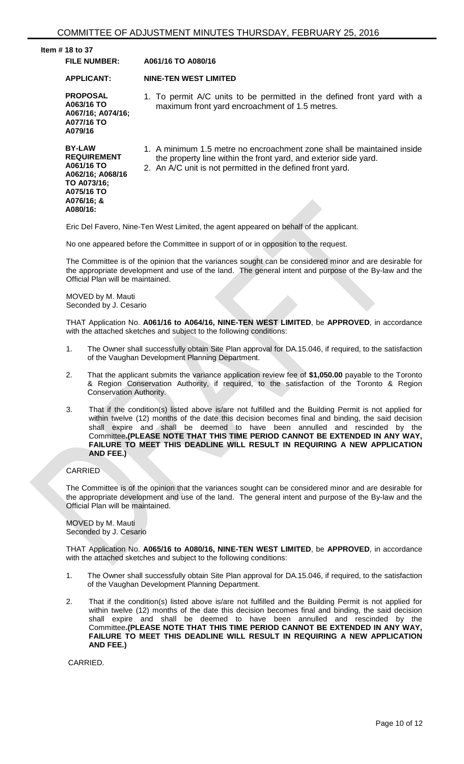| Item $#$ 18 to 37                                                                                                            |                                                                                                                                                                                                          |
|------------------------------------------------------------------------------------------------------------------------------|----------------------------------------------------------------------------------------------------------------------------------------------------------------------------------------------------------|
| <b>FILE NUMBER:</b>                                                                                                          | A061/16 TO A080/16                                                                                                                                                                                       |
| <b>APPLICANT:</b>                                                                                                            | <b>NINE-TEN WEST LIMITED</b>                                                                                                                                                                             |
| <b>PROPOSAL</b><br>A063/16 TO<br>A067/16; A074/16;<br>A077/16 TO<br>A079/16                                                  | 1. To permit A/C units to be permitted in the defined front yard with a<br>maximum front yard encroachment of 1.5 metres.                                                                                |
| <b>BY-LAW</b><br><b>REQUIREMENT</b><br>A061/16 TO<br>A062/16; A068/16<br>TO A073/16;<br>A075/16 TO<br>A076/16; &<br>A080/16: | 1. A minimum 1.5 metre no encroachment zone shall be maintained inside<br>the property line within the front yard, and exterior side yard.<br>2. An A/C unit is not permitted in the defined front yard. |
|                                                                                                                              | Eric Del Favero, Nine-Ten West Limited, the agent appeared on behalf of the applicant.                                                                                                                   |

No one appeared before the Committee in support of or in opposition to the request.

The Committee is of the opinion that the variances sought can be considered minor and are desirable for the appropriate development and use of the land. The general intent and purpose of the By-law and the Official Plan will be maintained.

MOVED by M. Mauti Seconded by J. Cesario

THAT Application No. **A061/16 to A064/16, NINE-TEN WEST LIMITED**, be **APPROVED**, in accordance with the attached sketches and subject to the following conditions:

- 1. The Owner shall successfully obtain Site Plan approval for DA.15.046, if required, to the satisfaction of the Vaughan Development Planning Department.
- 2. That the applicant submits the variance application review fee of **\$1,050.00** payable to the Toronto & Region Conservation Authority, if required, to the satisfaction of the Toronto & Region Conservation Authority.
- 3. That if the condition(s) listed above is/are not fulfilled and the Building Permit is not applied for within twelve (12) months of the date this decision becomes final and binding, the said decision shall expire and shall be deemed to have been annulled and rescinded by the Committee**.(PLEASE NOTE THAT THIS TIME PERIOD CANNOT BE EXTENDED IN ANY WAY, FAILURE TO MEET THIS DEADLINE WILL RESULT IN REQUIRING A NEW APPLICATION AND FEE.)**

# CARRIED

The Committee is of the opinion that the variances sought can be considered minor and are desirable for the appropriate development and use of the land. The general intent and purpose of the By-law and the Official Plan will be maintained.

MOVED by M. Mauti Seconded by J. Cesario

THAT Application No. **A065/16 to A080/16, NINE-TEN WEST LIMITED**, be **APPROVED**, in accordance with the attached sketches and subject to the following conditions:

- 1. The Owner shall successfully obtain Site Plan approval for DA.15.046, if required, to the satisfaction of the Vaughan Development Planning Department.
- 2. That if the condition(s) listed above is/are not fulfilled and the Building Permit is not applied for within twelve (12) months of the date this decision becomes final and binding, the said decision shall expire and shall be deemed to have been annulled and rescinded by the Committee**.(PLEASE NOTE THAT THIS TIME PERIOD CANNOT BE EXTENDED IN ANY WAY, FAILURE TO MEET THIS DEADLINE WILL RESULT IN REQUIRING A NEW APPLICATION AND FEE.)**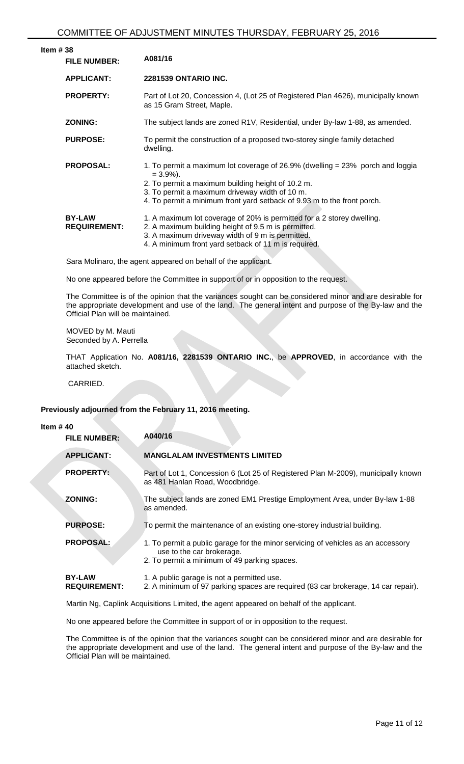| #38<br><b>FILE NUMBER:</b>           | A081/16                                                                                                                                                                                                                                                                           |
|--------------------------------------|-----------------------------------------------------------------------------------------------------------------------------------------------------------------------------------------------------------------------------------------------------------------------------------|
| <b>APPLICANT:</b>                    | <b>2281539 ONTARIO INC.</b>                                                                                                                                                                                                                                                       |
| <b>PROPERTY:</b>                     | Part of Lot 20, Concession 4, (Lot 25 of Registered Plan 4626), municipally known<br>as 15 Gram Street, Maple.                                                                                                                                                                    |
| <b>ZONING:</b>                       | The subject lands are zoned R1V, Residential, under By-law 1-88, as amended.                                                                                                                                                                                                      |
| <b>PURPOSE:</b>                      | To permit the construction of a proposed two-storey single family detached<br>dwelling.                                                                                                                                                                                           |
| <b>PROPOSAL:</b>                     | 1. To permit a maximum lot coverage of 26.9% (dwelling $=$ 23% porch and loggia<br>$= 3.9\%$ ).<br>2. To permit a maximum building height of 10.2 m.<br>3. To permit a maximum driveway width of 10 m.<br>4. To permit a minimum front yard setback of 9.93 m to the front porch. |
| <b>BY-LAW</b><br><b>REQUIREMENT:</b> | 1. A maximum lot coverage of 20% is permitted for a 2 storey dwelling.<br>2. A maximum building height of 9.5 m is permitted.<br>3. A maximum driveway width of 9 m is permitted.<br>4. A minimum front yard setback of 11 m is required.                                         |
|                                      | Sara Molinaro, the agent appeared on behalf of the applicant.                                                                                                                                                                                                                     |

No one appeared before the Committee in support of or in opposition to the request.

The Committee is of the opinion that the variances sought can be considered minor and are desirable for the appropriate development and use of the land. The general intent and purpose of the By-law and the Official Plan will be maintained.

MOVED by M. Mauti Seconded by A. Perrella

THAT Application No. **A081/16, 2281539 ONTARIO INC.**, be **APPROVED**, in accordance with the attached sketch.

CARRIED.

# **Previously adjourned from the February 11, 2016 meeting.**

| Item $#40$ |  |  |
|------------|--|--|
|------------|--|--|

**Item** 

| A040/16 |  |
|---------|--|
|         |  |

| <b>FILE NUMBER:</b>                  | A040/16                                                                                                                                                       |
|--------------------------------------|---------------------------------------------------------------------------------------------------------------------------------------------------------------|
| <b>APPLICANT:</b>                    | <b>MANGLALAM INVESTMENTS LIMITED</b>                                                                                                                          |
| <b>PROPERTY:</b>                     | Part of Lot 1, Concession 6 (Lot 25 of Registered Plan M-2009), municipally known<br>as 481 Hanlan Road, Woodbridge.                                          |
| <b>ZONING:</b>                       | The subject lands are zoned EM1 Prestige Employment Area, under By-law 1-88<br>as amended.                                                                    |
| <b>PURPOSE:</b>                      | To permit the maintenance of an existing one-storey industrial building.                                                                                      |
| <b>PROPOSAL:</b>                     | 1. To permit a public garage for the minor servicing of vehicles as an accessory<br>use to the car brokerage.<br>2. To permit a minimum of 49 parking spaces. |
| <b>BY-LAW</b><br><b>REQUIREMENT:</b> | 1. A public garage is not a permitted use.<br>2. A minimum of 97 parking spaces are required (83 car brokerage, 14 car repair).                               |

Martin Ng, Caplink Acquisitions Limited, the agent appeared on behalf of the applicant.

No one appeared before the Committee in support of or in opposition to the request.

The Committee is of the opinion that the variances sought can be considered minor and are desirable for the appropriate development and use of the land. The general intent and purpose of the By-law and the Official Plan will be maintained.